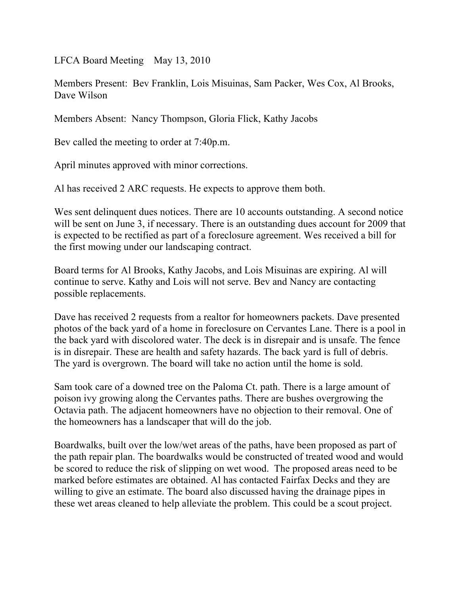LFCA Board Meeting May 13, 2010

Members Present: Bev Franklin, Lois Misuinas, Sam Packer, Wes Cox, Al Brooks, Dave Wilson

Members Absent: Nancy Thompson, Gloria Flick, Kathy Jacobs

Bev called the meeting to order at 7:40p.m.

April minutes approved with minor corrections.

Al has received 2 ARC requests. He expects to approve them both.

Wes sent delinquent dues notices. There are 10 accounts outstanding. A second notice will be sent on June 3, if necessary. There is an outstanding dues account for 2009 that is expected to be rectified as part of a foreclosure agreement. Wes received a bill for the first mowing under our landscaping contract.

Board terms for Al Brooks, Kathy Jacobs, and Lois Misuinas are expiring. Al will continue to serve. Kathy and Lois will not serve. Bev and Nancy are contacting possible replacements.

Dave has received 2 requests from a realtor for homeowners packets. Dave presented photos of the back yard of a home in foreclosure on Cervantes Lane. There is a pool in the back yard with discolored water. The deck is in disrepair and is unsafe. The fence is in disrepair. These are health and safety hazards. The back yard is full of debris. The yard is overgrown. The board will take no action until the home is sold.

Sam took care of a downed tree on the Paloma Ct. path. There is a large amount of poison ivy growing along the Cervantes paths. There are bushes overgrowing the Octavia path. The adjacent homeowners have no objection to their removal. One of the homeowners has a landscaper that will do the job.

Boardwalks, built over the low/wet areas of the paths, have been proposed as part of the path repair plan. The boardwalks would be constructed of treated wood and would be scored to reduce the risk of slipping on wet wood. The proposed areas need to be marked before estimates are obtained. Al has contacted Fairfax Decks and they are willing to give an estimate. The board also discussed having the drainage pipes in these wet areas cleaned to help alleviate the problem. This could be a scout project.